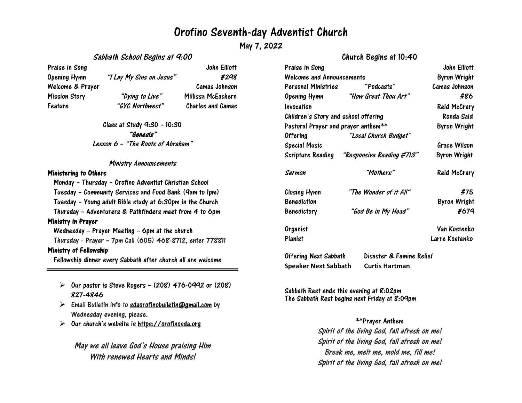# Orofino Seventh-day Adventist Church

May 7, 2022

#### Sabbath School Begins at 9:00

Praise in Song The Song Solution of the Song John Elliott John Elliott Opening Hymn "I Lay My Sins on Jesus" #298 Welcome & Prayer Camas Johnson Mission Story "Dying to Live" Millissa McEachern Feature "GYC Northwest" Charles and Camas

> Class at Study 9:30 – 10:30 "Genesis" Lesson <sup>6</sup> – "The Roots of Abraham"

#### Ministry Announcements

#### Ministering to Others

Monday – Thursday – Orofino Adventist Christian School Tuesday – Community Services and Food Bank (9am to 1pm) Tuesday – Young adult Bible study at 6:30pm in the Church Thursday – Adventurers & Pathfinders meet from 4 to 6pm Ministry in Prayer Wednesday – Prayer Meeting – 6pm at the church Thursday - Prayer – 7pm Call (605) 468-8712, enter 778811

#### Ministry of Fellowship

Fellowship dinner every Sabbath after church all are welcome

- $\triangleright$  Our pastor is Steve Rogers (208) 476-0992 or (208) 827-4846
- $\triangleright$  Email Bulletin info to [sdaorofinobulletin@gmail.com](mailto:sdaorofinobulletin@gmail.com) by Wednesday evening, please.
- $\triangleright$ Our church's website is [https://orofinosda.org](https://orofinosda.org/)

May we all leave God's House praising Him With renewed Hearts and Minds!

## Church Begins at 10:40

| Praise in Song<br><b>Welcome and Announcements</b> |                                   | John Elliott<br><b>Byron Wright</b> |
|----------------------------------------------------|-----------------------------------|-------------------------------------|
|                                                    |                                   |                                     |
|                                                    | Opening Hymn "How Great Thou Art" | #86                                 |
| Invocation                                         |                                   | <b>Reid McCrary</b>                 |
| Children's Story and school offering               |                                   | Ronda Said                          |
| Pastoral Prayer and prayer anthem**                |                                   | <b>Byron Wright</b>                 |
| <b>Offering</b>                                    | "Local Church Budget"             |                                     |
| <b>Special Music</b>                               |                                   | <b>Grace Wilson</b>                 |
| Scripture Reading                                  | "Responsive Reading #713"         | <b>Byron Wright</b>                 |
| Sermon                                             | "Mothers"                         | Reid McCrary                        |
| Closing Hymn                                       | "The Wonder of it All"            | #75                                 |
| <b>Benediction</b>                                 |                                   | <b>Byron Wright</b>                 |
| <b>Benedictory</b>                                 | "God Be in My Head"               | #679                                |
| Organist                                           |                                   | Van Kostenko                        |
| Pianist                                            |                                   | Larre Kostenko                      |
| <b>Offering Next Sabbath</b>                       | Disaster & Famine Relief          |                                     |

Sabbath Rest ends this evening at 8:02pm The Sabbath Rest begins next Friday at 8:09pm

**Speaker Next Sabbath Curtis Hartman**

### \*\*Prayer Anthem

Spirit of the living God, fall afresh on me! Spirit of the living God, fall afresh on me! Break me, melt me, mold me, fill me! Spirit of the living God, fall afresh on me!